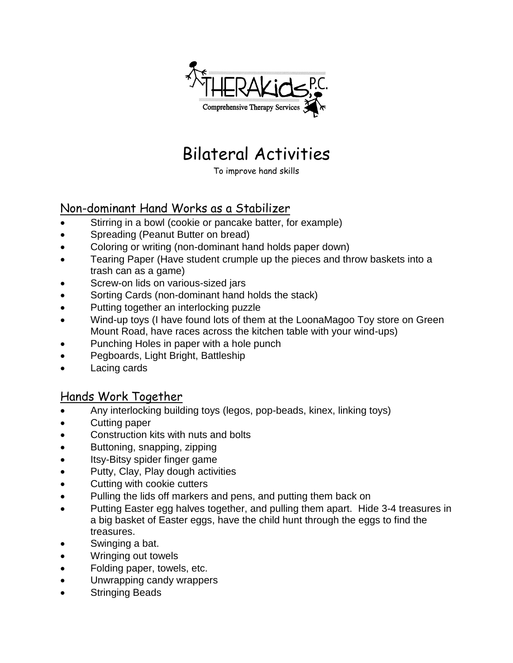

## Bilateral Activities

To improve hand skills

## Non-dominant Hand Works as a Stabilizer

- Stirring in a bowl (cookie or pancake batter, for example)
- Spreading (Peanut Butter on bread)
- Coloring or writing (non-dominant hand holds paper down)
- Tearing Paper (Have student crumple up the pieces and throw baskets into a trash can as a game)
- Screw-on lids on various-sized jars
- Sorting Cards (non-dominant hand holds the stack)
- Putting together an interlocking puzzle
- Wind-up toys (I have found lots of them at the LoonaMagoo Toy store on Green Mount Road, have races across the kitchen table with your wind-ups)
- Punching Holes in paper with a hole punch
- Pegboards, Light Bright, Battleship
- Lacing cards

## Hands Work Together

- Any interlocking building toys (legos, pop-beads, kinex, linking toys)
- Cutting paper
- Construction kits with nuts and bolts
- Buttoning, snapping, zipping
- Itsy-Bitsy spider finger game
- Putty, Clay, Play dough activities
- Cutting with cookie cutters
- Pulling the lids off markers and pens, and putting them back on
- Putting Easter egg halves together, and pulling them apart. Hide 3-4 treasures in a big basket of Easter eggs, have the child hunt through the eggs to find the treasures.
- Swinging a bat.
- Wringing out towels
- Folding paper, towels, etc.
- Unwrapping candy wrappers
- Stringing Beads